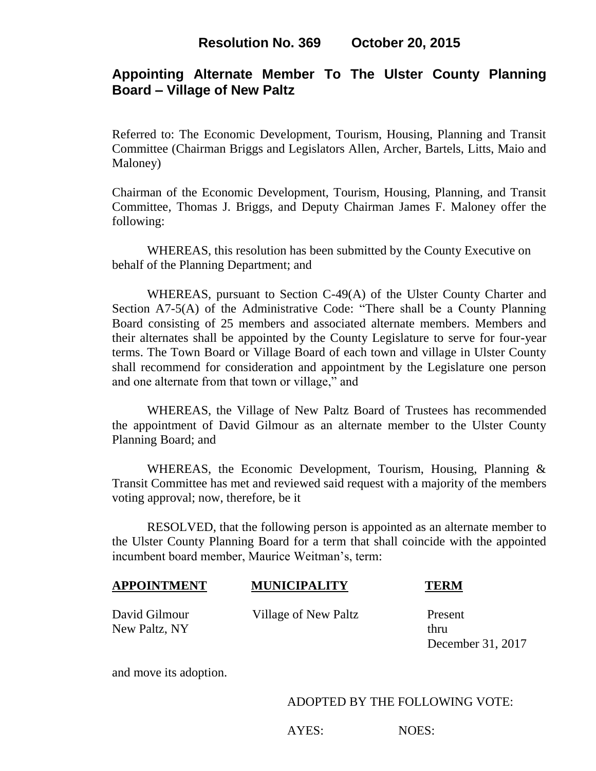## **Appointing Alternate Member To The Ulster County Planning Board – Village of New Paltz**

Referred to: The Economic Development, Tourism, Housing, Planning and Transit Committee (Chairman Briggs and Legislators Allen, Archer, Bartels, Litts, Maio and Maloney)

Chairman of the Economic Development, Tourism, Housing, Planning, and Transit Committee, Thomas J. Briggs, and Deputy Chairman James F. Maloney offer the following:

WHEREAS, this resolution has been submitted by the County Executive on behalf of the Planning Department; and

WHEREAS, pursuant to Section C-49(A) of the Ulster County Charter and Section A7-5(A) of the Administrative Code: "There shall be a County Planning Board consisting of 25 members and associated alternate members. Members and their alternates shall be appointed by the County Legislature to serve for four-year terms. The Town Board or Village Board of each town and village in Ulster County shall recommend for consideration and appointment by the Legislature one person and one alternate from that town or village," and

WHEREAS, the Village of New Paltz Board of Trustees has recommended the appointment of David Gilmour as an alternate member to the Ulster County Planning Board; and

WHEREAS, the Economic Development, Tourism, Housing, Planning & Transit Committee has met and reviewed said request with a majority of the members voting approval; now, therefore, be it

RESOLVED, that the following person is appointed as an alternate member to the Ulster County Planning Board for a term that shall coincide with the appointed incumbent board member, Maurice Weitman's, term:

| <b>APPOINTMENT</b> | <b>MUNICIPALITY</b> | <b>TERM</b> |
|--------------------|---------------------|-------------|
|                    |                     |             |

New Paltz, NY thru

David Gilmour Village of New Paltz Present

December 31, 2017

and move its adoption.

ADOPTED BY THE FOLLOWING VOTE:

AYES: NOES: